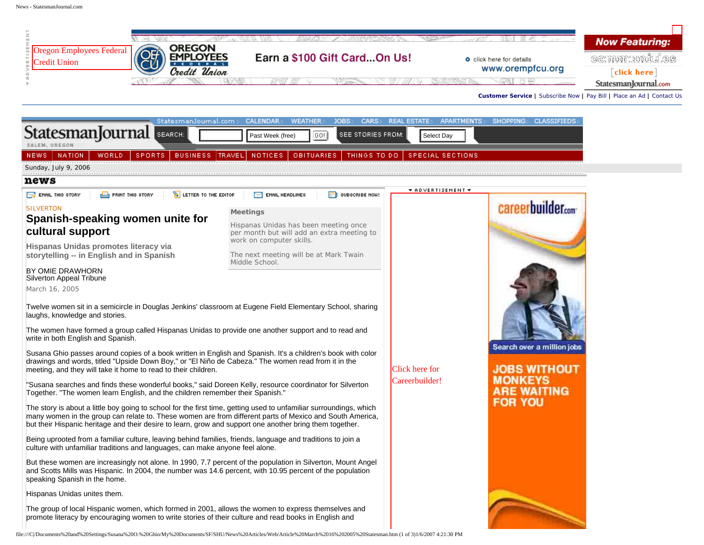

jobs

דו

| StattSmanjouman Search<br>SALEM, OREGON                                                                                                                                                                                                                                                                                                                                                                                                                                                                                                                                                                                                                                                                                                                                                                                                                                                                                                                                                                                                                                                                                                                                                                                                                                                                                                                                                                                                                                         | Past Week (free)<br> GO! <br>SEE STORIES FROM:                                                                                                                                                 | Select Day                       |                                                                                                                             |
|---------------------------------------------------------------------------------------------------------------------------------------------------------------------------------------------------------------------------------------------------------------------------------------------------------------------------------------------------------------------------------------------------------------------------------------------------------------------------------------------------------------------------------------------------------------------------------------------------------------------------------------------------------------------------------------------------------------------------------------------------------------------------------------------------------------------------------------------------------------------------------------------------------------------------------------------------------------------------------------------------------------------------------------------------------------------------------------------------------------------------------------------------------------------------------------------------------------------------------------------------------------------------------------------------------------------------------------------------------------------------------------------------------------------------------------------------------------------------------|------------------------------------------------------------------------------------------------------------------------------------------------------------------------------------------------|----------------------------------|-----------------------------------------------------------------------------------------------------------------------------|
| WORLD.<br><b>SPORTS</b><br><b>NEWS</b><br><b>NATION</b>                                                                                                                                                                                                                                                                                                                                                                                                                                                                                                                                                                                                                                                                                                                                                                                                                                                                                                                                                                                                                                                                                                                                                                                                                                                                                                                                                                                                                         | BUSINESS TRAVEL NOTICES<br><b>OBITUARIES</b><br>THINGS TO DO                                                                                                                                   | <b>SPECIAL SECTIONS</b>          |                                                                                                                             |
| Sunday, July 9, 2006                                                                                                                                                                                                                                                                                                                                                                                                                                                                                                                                                                                                                                                                                                                                                                                                                                                                                                                                                                                                                                                                                                                                                                                                                                                                                                                                                                                                                                                            |                                                                                                                                                                                                |                                  |                                                                                                                             |
| news                                                                                                                                                                                                                                                                                                                                                                                                                                                                                                                                                                                                                                                                                                                                                                                                                                                                                                                                                                                                                                                                                                                                                                                                                                                                                                                                                                                                                                                                            |                                                                                                                                                                                                |                                  |                                                                                                                             |
| <b>SETTER TO THE EDITOR</b><br>$\mathbb{R}$ EMAIL THIS STORY<br><b>EN</b> PRINT THIS STORY                                                                                                                                                                                                                                                                                                                                                                                                                                                                                                                                                                                                                                                                                                                                                                                                                                                                                                                                                                                                                                                                                                                                                                                                                                                                                                                                                                                      | $\blacksquare$ SUBSCRIBE NOH!<br>$\Box$ EMAIL HEADLINES                                                                                                                                        | <b>THOVERTISEMENT T</b>          |                                                                                                                             |
| <b>SILVERTON</b><br>Spanish-speaking women unite for<br>cultural support<br>Hispanas Unidas promotes literacy via<br>storytelling -- in English and in Spanish<br>BY OMIE DRAWHORN<br>Silverton Appeal Tribune<br>March 16, 2005<br>Twelve women sit in a semicircle in Douglas Jenkins' classroom at Eugene Field Elementary School, sharing<br>laughs, knowledge and stories.<br>The women have formed a group called Hispanas Unidas to provide one another support and to read and<br>write in both English and Spanish.<br>Susana Ghio passes around copies of a book written in English and Spanish. It's a children's book with color<br>drawings and words, titled "Upside Down Boy," or "El Niño de Cabeza." The women read from it in the<br>meeting, and they will take it home to read to their children.<br>"Susana searches and finds these wonderful books," said Doreen Kelly, resource coordinator for Silverton<br>Together. "The women learn English, and the children remember their Spanish."<br>The story is about a little boy going to school for the first time, getting used to unfamiliar surroundings, which<br>many women in the group can relate to. These women are from different parts of Mexico and South America,<br>but their Hispanic heritage and their desire to learn, grow and support one another bring them together.<br>Being uprooted from a familiar culture, leaving behind families, friends, language and traditions to join a | <b>Meetings</b><br>Hispanas Unidas has been meeting once<br>per month but will add an extra meeting to<br>work on computer skills.<br>The next meeting will be at Mark Twain<br>Middle School. | Click here for<br>Careerbuilder! | careerbuilder<br>Search over a million job<br><b>JOBS WITHOUT</b><br><b>MONKEYS</b><br><b>ARE WAITING</b><br><b>FOR YOU</b> |
| culture with unfamiliar traditions and languages, can make anyone feel alone.<br>But these women are increasingly not alone. In 1990, 7.7 percent of the population in Silverton, Mount Angel<br>and Scotts Mills was Hispanic. In 2004, the number was 14.6 percent, with 10.95 percent of the population<br>speaking Spanish in the home.<br>Hispanas Unidas unites them.                                                                                                                                                                                                                                                                                                                                                                                                                                                                                                                                                                                                                                                                                                                                                                                                                                                                                                                                                                                                                                                                                                     |                                                                                                                                                                                                |                                  |                                                                                                                             |
| The group of local Hispanic women, which formed in 2001, allows the women to express themselves and<br>promote literacy by encouraging women to write stories of their culture and read books in English and                                                                                                                                                                                                                                                                                                                                                                                                                                                                                                                                                                                                                                                                                                                                                                                                                                                                                                                                                                                                                                                                                                                                                                                                                                                                    |                                                                                                                                                                                                |                                  |                                                                                                                             |
| file:///C /Documents%20and%20Settings/Susana%20O.%20Ghio/My%20Documents/SF/SHU/News%20Articles/Web/Article%20March%2016%202005%20Statesman.htm (1 of 3)1/6/2007 4:21:30 PM                                                                                                                                                                                                                                                                                                                                                                                                                                                                                                                                                                                                                                                                                                                                                                                                                                                                                                                                                                                                                                                                                                                                                                                                                                                                                                      |                                                                                                                                                                                                |                                  |                                                                                                                             |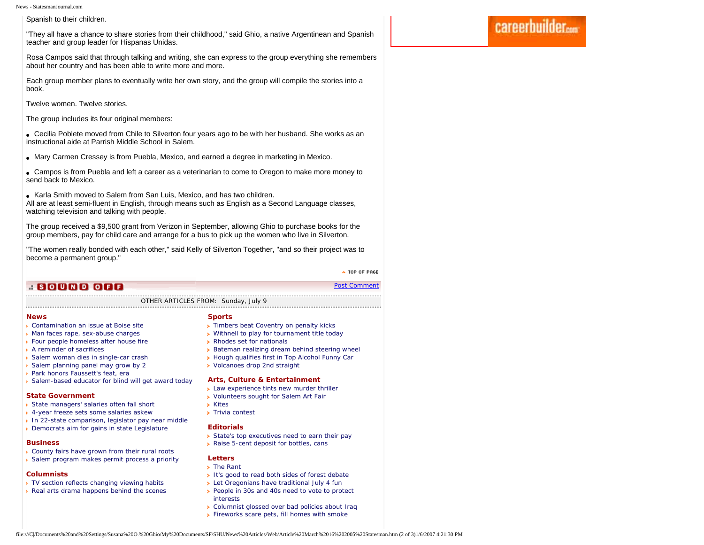News - StatesmanJournal.com

Spanish to their children.

"They all have a chance to share stories from their childhood," said Ghio, a native Argentinean and Spanish teacher and group leader for Hispanas Unidas.

Rosa Campos said that through talking and writing, she can express to the group everything she remembers about her country and has been able to write more and more.

Each group member plans to eventually write her own story, and the group will compile the stories into a book.

Twelve women. Twelve stories.

The group includes its four original members:

• Cecilia Poblete moved from Chile to Silverton four years ago to be with her husband. She works as an instructional aide at Parrish Middle School in Salem.

• Mary Carmen Cressey is from Puebla, Mexico, and earned a degree in marketing in Mexico.

• Campos is from Puebla and left a career as a veterinarian to come to Oregon to make more money to send back to Mexico.

• Karla Smith moved to Salem from San Luis, Mexico, and has two children.

All are at least semi-fluent in English, through means such as English as a Second Language classes, watching television and talking with people.

The group received a \$9,500 grant from Verizon in September, allowing Ghio to purchase books for the group members, pay for child care and arrange for a bus to pick up the women who live in Silverton.

"The women really bonded with each other," said Kelly of Silverton Together, "and so their project was to become a permanent group."

> A TOP OF PAGE [Post Comment](http://news.statesmanjournal.com/sjforum/start_topic.cfm?forum=19&artid=503160322&headline=Spanish-speaking%20women%20unite%20for%20cultural%20support)

# <u>. SOUND OFF</u>

#### OTHER ARTICLES FROM: Sunday, July 9

#### **[News](http://159.54.226.83/apps/pbcs.dll/section?Category=NEWS)**

- **[Contamination an issue at Boise site](http://159.54.226.83/apps/pbcs.dll/article?AID=/20060709/NEWS/607090327)**
- **[Man faces rape, sex-abuse charges](http://159.54.226.83/apps/pbcs.dll/article?AID=/20060709/NEWS/607090318)**
- **[Four people homeless after house fire](http://159.54.226.83/apps/pbcs.dll/article?AID=/20060709/NEWS/607090316)**
- **A** reminder of sacrifices
- [Salem woman dies in single-car crash](http://159.54.226.83/apps/pbcs.dll/article?AID=/20060709/NEWS/607090317)
- [Salem planning panel may grow by 2](http://159.54.226.83/apps/pbcs.dll/article?AID=/20060709/NEWS/607090319)
- [Park honors Faussett's feat, era](http://159.54.226.83/apps/pbcs.dll/article?AID=/20060709/NEWS/607090323)
- [Salem-based educator for blind will get award today](http://159.54.226.83/apps/pbcs.dll/article?AID=/20060709/NEWS/607090321)

### **[State Government](http://159.54.226.83/apps/pbcs.dll/section?Category=STATE)**

- [State managers' salaries often fall short](http://159.54.226.83/apps/pbcs.dll/article?AID=/20060709/STATE/607090329/1042)
- [4-year freeze sets some salaries askew](http://159.54.226.83/apps/pbcs.dll/article?AID=/20060709/STATE/607090325/1042)
- [In 22-state comparison, legislator pay near middle](http://159.54.226.83/apps/pbcs.dll/article?AID=/20060709/STATE/607090324/1042)
- [Democrats aim for gains in state Legislature](http://159.54.226.83/apps/pbcs.dll/article?AID=/20060709/STATE/607090322/1042)

### **[Business](http://159.54.226.83/apps/pbcs.dll/section?Category=BUSINESS)**

**[County fairs have grown from their rural roots](http://159.54.226.83/apps/pbcs.dll/article?AID=/20060709/BUSINESS/607090304/1040)** [Salem program makes permit process a priority](http://159.54.226.83/apps/pbcs.dll/article?AID=/20060709/BUSINESS/607090303/1040)

# **[Columnists](http://159.54.226.83/apps/pbcs.dll/section?Category=COLUMN)**

- [TV section reflects changing viewing habits](http://159.54.226.83/apps/pbcs.dll/article?AID=/20060709/COLUMN0701/607090315/1064)
- [Real arts drama happens behind the scenes](http://159.54.226.83/apps/pbcs.dll/article?AID=/20060709/COLUMN0801/607090306/1064)

# **[Sports](http://159.54.226.83/apps/pbcs.dll/section?Category=SPORTS)**

- **Fimbers beat Coventry on penalty kicks**
- [Withnell to play for tournament title today](http://159.54.226.83/apps/pbcs.dll/article?AID=/20060709/SPORTS/607090333/1018)
- **[Rhodes set for nationals](http://159.54.226.83/apps/pbcs.dll/article?AID=/20060709/SPORTS/607090330/1018)**
- **[Bateman realizing dream behind steering wheel](http://159.54.226.83/apps/pbcs.dll/article?AID=/20060709/SPORTS/607090332/1018)**
- **EXTENDING** [Hough qualifies first in Top Alcohol Funny Car](http://159.54.226.83/apps/pbcs.dll/article?AID=/20060709/SPORTS/607090326/1018)
- [Volcanoes drop 2nd straight](http://159.54.226.83/apps/pbcs.dll/article?AID=/20060709/SPORTS/607090331/1018)

### **[Arts, Culture & Entertainment](http://159.54.226.83/apps/pbcs.dll/section?Category=LIFE)**

- **[Law experience tints new murder thriller](http://159.54.226.83/apps/pbcs.dll/article?AID=/20060709/LIFE/607090301/1059)**
- **[Volunteers sought for Salem Art Fair](http://159.54.226.83/apps/pbcs.dll/article?AID=/20060709/LIFE/607090302/1059)**
- [Kites](http://159.54.226.83/apps/pbcs.dll/article?AID=/20060709/LIFE/607090305/1059)
- **[Trivia contest](http://www.statesmanjournal.com/apps/pbcs.dll/section?Category=TRIVIA)**

### **[Editorials](http://159.54.226.83/apps/pbcs.dll/section?Category=OPINION)**

- [State's top executives need to earn their pay](http://159.54.226.83/apps/pbcs.dll/article?AID=/20060709/OPINION/607090309/1048)
- **[Raise 5-cent deposit for bottles, cans](http://159.54.226.83/apps/pbcs.dll/article?AID=/20060709/OPINION/607090308/1048)**

# **[Letters](http://159.54.226.83/apps/pbcs.dll/section?Category=OPINION)**

- **> [The Rant](http://159.54.226.83/apps/pbcs.dll/article?AID=/20060709/OPINION/607090307/1050)**
- [It's good to read both sides of forest debate](http://159.54.226.83/apps/pbcs.dll/article?AID=/20060709/OPINION/607090314/1050)
- **[Let Oregonians have traditional July 4 fun](http://159.54.226.83/apps/pbcs.dll/article?AID=/20060709/OPINION/607090311/1050)**
- People in 30s and 40s need to vote to protect [interests](http://159.54.226.83/apps/pbcs.dll/article?AID=/20060709/OPINION/607090310/1050)
- [Columnist glossed over bad policies about Iraq](http://159.54.226.83/apps/pbcs.dll/article?AID=/20060709/OPINION/607090313/1050)
- **[Fireworks scare pets, fill homes with smoke](http://159.54.226.83/apps/pbcs.dll/article?AID=/20060709/OPINION/607090312/1050)**